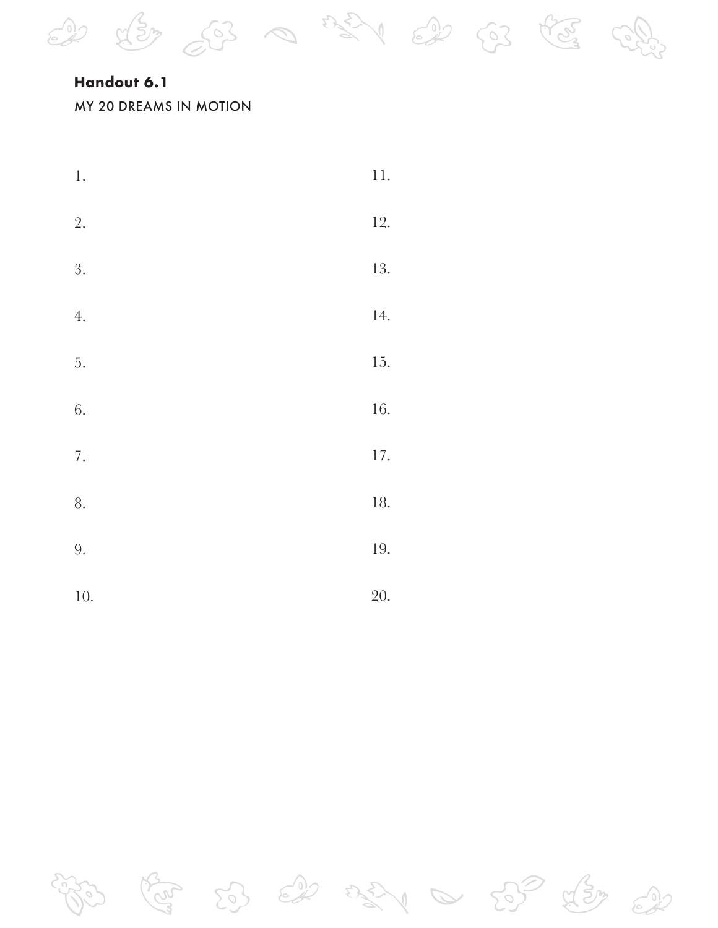### **Handout 6.1**

#### MY 20 DREAMS IN MOTION

| $\boldsymbol{1}$ . | $11. \,$  |
|--------------------|-----------|
| 2.                 | 12.       |
| 3.                 | 13.       |
| 4.                 | 14.       |
| 5.                 | 15.       |
| 6.                 | 16.       |
| 7.                 | $17. \,$  |
| 8.                 | 18.       |
| 9.                 | $\,19.\,$ |
| 10.                | 20.       |

2 43 53 0 331 2 53 83

 $5362$  $\begin{array}{c} \mathcal{L}_1 \oplus \mathcal{L}_2 \oplus \mathcal{L}_3 \oplus \mathcal{L}_4 \oplus \mathcal{L}_5 \oplus \mathcal{L}_6 \oplus \mathcal{L}_7 \oplus \mathcal{L}_7 \oplus \mathcal{L}_8 \oplus \mathcal{L}_8 \oplus \mathcal{L}_9 \oplus \mathcal{L}_9 \oplus \mathcal{L}_1 \oplus \mathcal{L}_1 \oplus \mathcal{L}_2 \oplus \mathcal{L}_1 \oplus \mathcal{L}_2 \oplus \mathcal{L}_1 \oplus \mathcal{L}_2 \oplus \mathcal{L}_3 \oplus \mathcal{L}_1 \oplus \mathcal$  $59$   $99$  $\approx 22$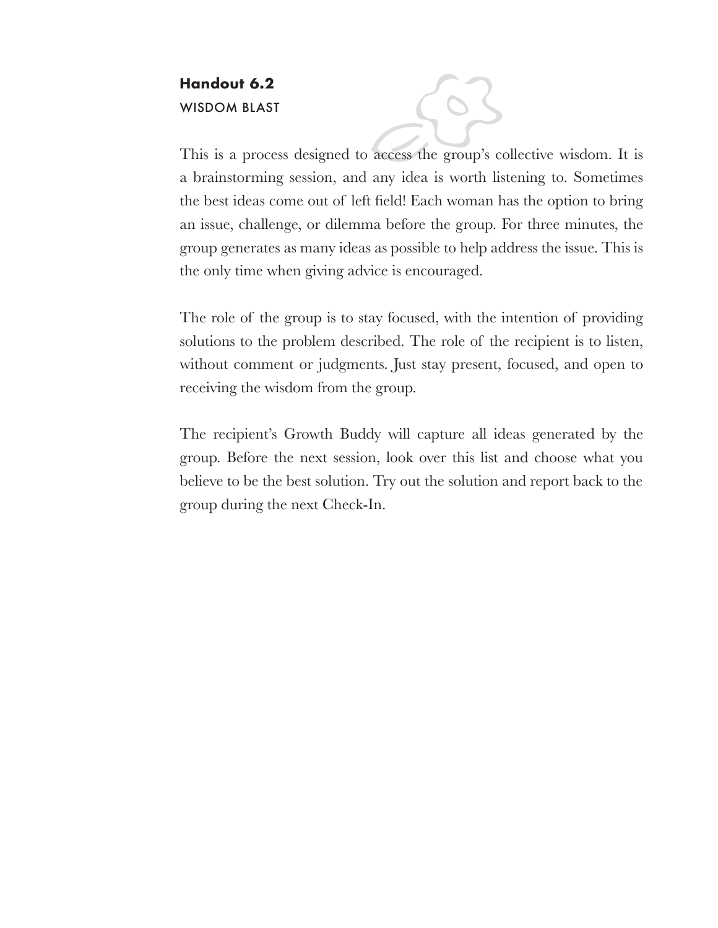## **Handout 6.2** WISDOM BLAST

This is a process designed to access the group's collective wisdom. It is a brainstorming session, and any idea is worth listening to. Sometimes the best ideas come out of left field! Each woman has the option to bring an issue, challenge, or dilemma before the group. For three minutes, the group generates as many ideas as possible to help address the issue. This is the only time when giving advice is encouraged.

The role of the group is to stay focused, with the intention of providing solutions to the problem described. The role of the recipient is to listen, without comment or judgments. Just stay present, focused, and open to receiving the wisdom from the group.

The recipient's Growth Buddy will capture all ideas generated by the group. Before the next session, look over this list and choose what you believe to be the best solution. Try out the solution and report back to the group during the next Check-In.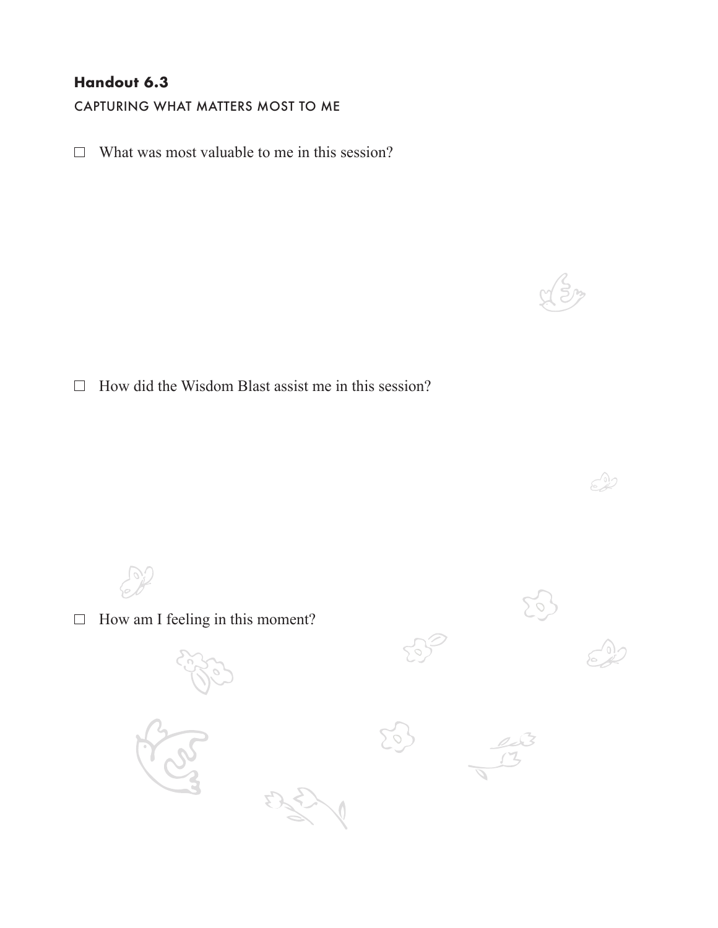### **Handout 6.3**

CAPTURING WHAT MATTERS MOST TO ME

 $\Box$  What was most valuable to me in this session?

 $\Box$  How did the Wisdom Blast assist me in this session?

 $C^2$  $\Box$  How am I feeling in this moment?

 $\approx 22$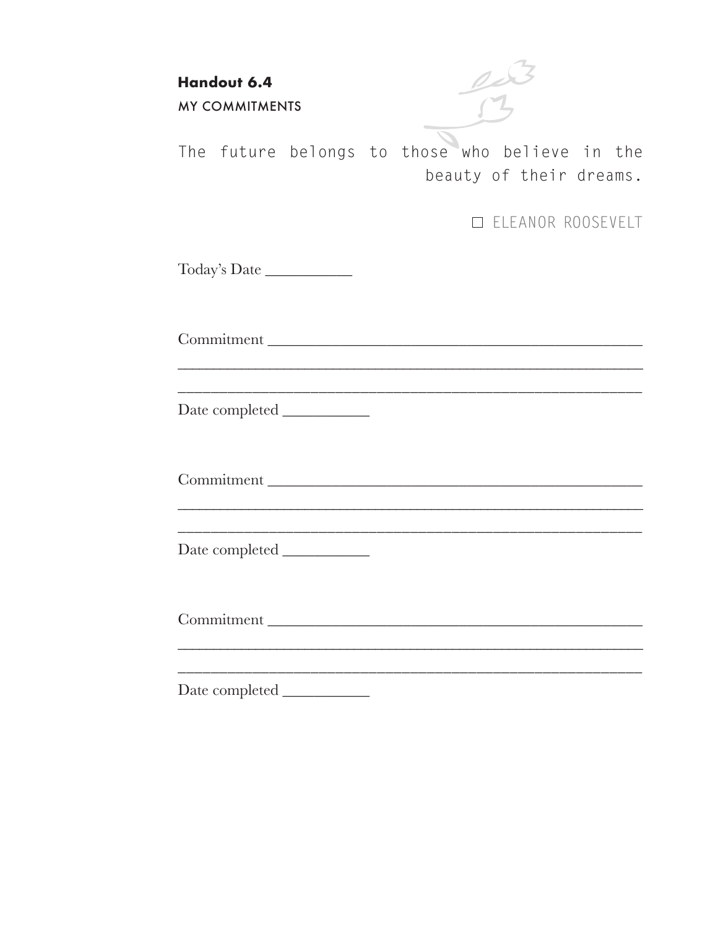**Handout 6.4** MY COMMITMENTS

The future belongs to those who believe in the beauty of their dreams.

ELEANOR ROOSEVELT

Today's Date \_\_\_\_\_\_\_\_\_\_\_

Commitment \_\_\_\_\_\_\_\_\_\_\_\_\_\_\_\_\_\_\_\_\_\_\_\_\_\_\_\_\_\_\_\_\_\_\_\_\_\_\_\_\_\_\_\_\_\_\_

\_\_\_\_\_\_\_\_\_\_\_\_\_\_\_\_\_\_\_\_\_\_\_\_\_\_\_\_\_\_\_\_\_\_\_\_\_\_\_\_\_\_\_\_\_\_\_\_\_\_\_\_\_\_\_\_ Date completed \_\_\_\_\_\_\_\_\_\_\_

Commitment \_\_\_\_\_\_\_\_\_\_\_\_\_\_\_\_\_\_\_\_\_\_\_\_\_\_\_\_\_\_\_\_\_\_\_\_\_\_\_\_\_\_\_\_\_\_\_

\_\_\_\_\_\_\_\_\_\_\_\_\_\_\_\_\_\_\_\_\_\_\_\_\_\_\_\_\_\_\_\_\_\_\_\_\_\_\_\_\_\_\_\_\_\_\_\_\_\_\_\_\_\_\_\_\_\_\_\_\_\_\_\_\_\_

\_\_\_\_\_\_\_\_\_\_\_\_\_\_\_\_\_\_\_\_\_\_\_\_\_\_\_\_\_\_\_\_\_\_\_\_\_\_\_\_\_\_\_\_\_\_\_\_\_\_\_\_\_\_\_\_ Date completed \_\_\_\_\_\_\_\_\_\_\_

Commitment \_\_\_\_\_\_\_\_\_\_\_\_\_\_\_\_\_\_\_\_\_\_\_\_\_\_\_\_\_\_\_\_\_\_\_\_\_\_\_\_\_\_\_\_\_\_\_

\_\_\_\_\_\_\_\_\_\_\_\_\_\_\_\_\_\_\_\_\_\_\_\_\_\_\_\_\_\_\_\_\_\_\_\_\_\_\_\_\_\_\_\_\_\_\_\_\_\_\_\_\_\_\_\_\_\_\_\_\_\_\_\_\_\_ \_\_\_\_\_\_\_\_\_\_\_\_\_\_\_\_\_\_\_\_\_\_\_\_\_\_\_\_\_\_\_\_\_\_\_\_\_\_\_\_\_\_\_\_\_\_\_\_\_\_\_\_\_\_\_\_

Date completed \_\_\_\_\_\_\_\_\_\_\_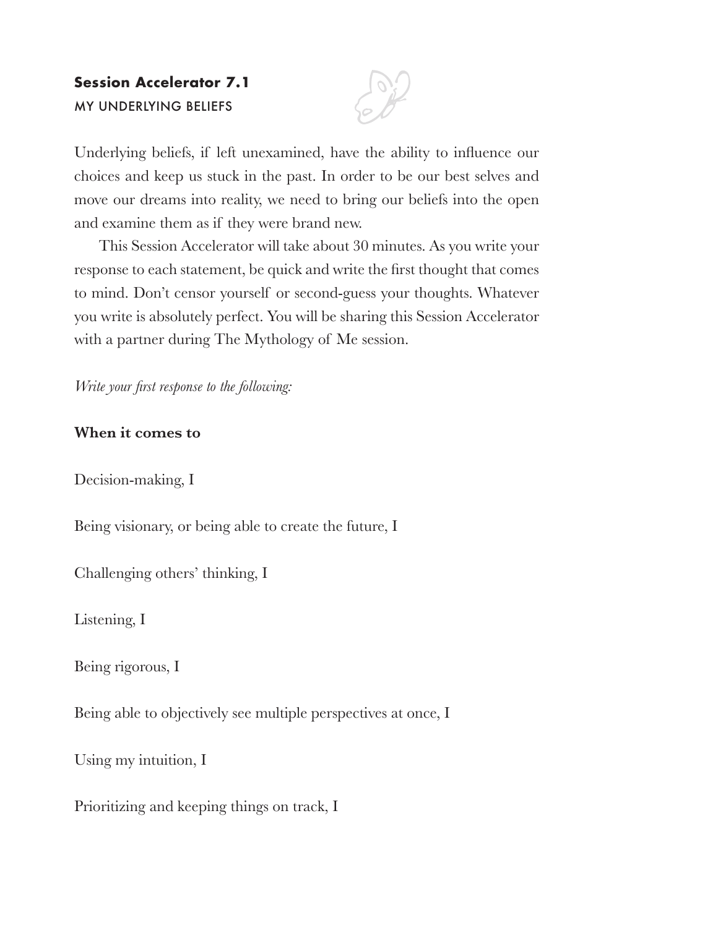# **Session Accelerator 7.1 MY UNDERLYING BELIEFS**



Underlying beliefs, if left unexamined, have the ability to influence our choices and keep us stuck in the past. In order to be our best selves and move our dreams into reality, we need to bring our beliefs into the open and examine them as if they were brand new.

This Session Accelerator will take about 30 minutes. As you write your response to each statement, be quick and write the first thought that comes to mind. Don't censor yourself or second-guess your thoughts. Whatever you write is absolutely perfect. You will be sharing this Session Accelerator with a partner during The Mythology of Me session.

*Write your first response to the following:* 

### **When it comes to**

Decision-making, I

Being visionary, or being able to create the future, I

Challenging others' thinking, I

Listening, I

Being rigorous, I

Being able to objectively see multiple perspectives at once, I

Using my intuition, I

Prioritizing and keeping things on track, I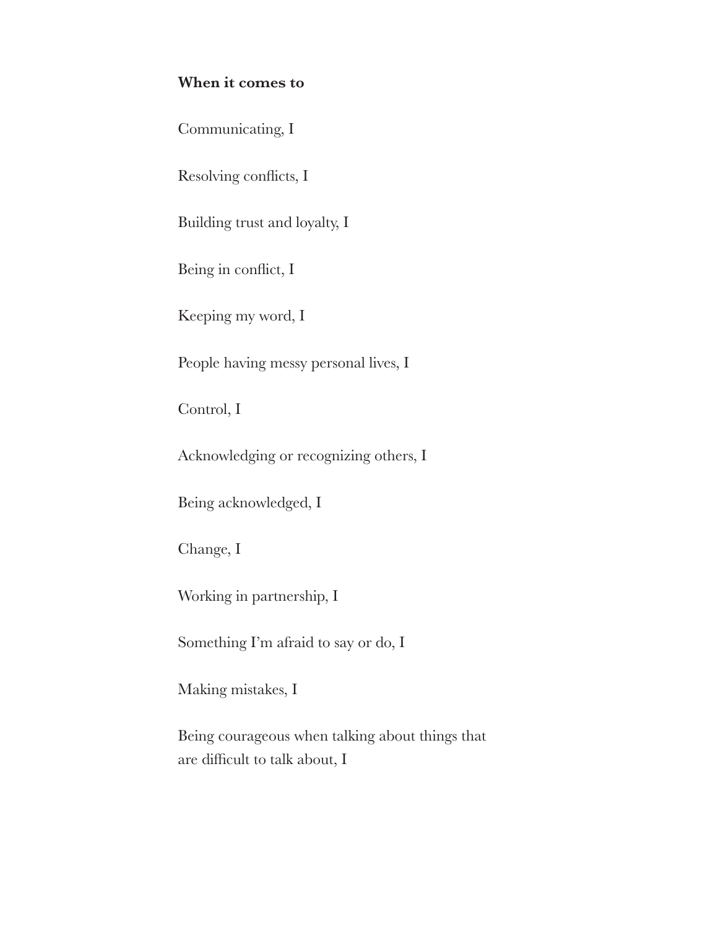### **When it comes to**

Communicating, I

Resolving conflicts, I

Building trust and loyalty, I

Being in conflict, I

Keeping my word, I

People having messy personal lives, I

Control, I

Acknowledging or recognizing others, I

Being acknowledged, I

Change, I

Working in partnership, I

Something I'm afraid to say or do, I

Making mistakes, I

Being courageous when talking about things that are difficult to talk about,  $I$